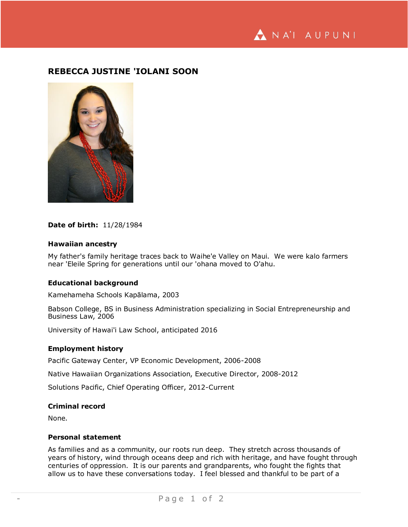NA'I AUPUNI

# **REBECCA JUSTINE 'IOLANI SOON**



## **Date of birth:** 11/28/1984

### **Hawaiian ancestry**

My father's family heritage traces back to Waihe'e Valley on Maui. We were kalo farmers near 'Eleile Spring for generations until our 'ohana moved to O'ahu.

### **Educational background**

Kamehameha Schools Kapālama, 2003

Babson College, BS in Business Administration specializing in Social Entrepreneurship and Business Law, 2006

University of Hawai'i Law School, anticipated 2016

## **Employment history**

Pacific Gateway Center, VP Economic Development, 2006-2008

Native Hawaiian Organizations Association, Executive Director, 2008-2012

Solutions Pacific, Chief Operating Officer, 2012-Current

## **Criminal record**

None.

## **Personal statement**

As families and as a community, our roots run deep. They stretch across thousands of years of history, wind through oceans deep and rich with heritage, and have fought through centuries of oppression. It is our parents and grandparents, who fought the fights that allow us to have these conversations today. I feel blessed and thankful to be part of a